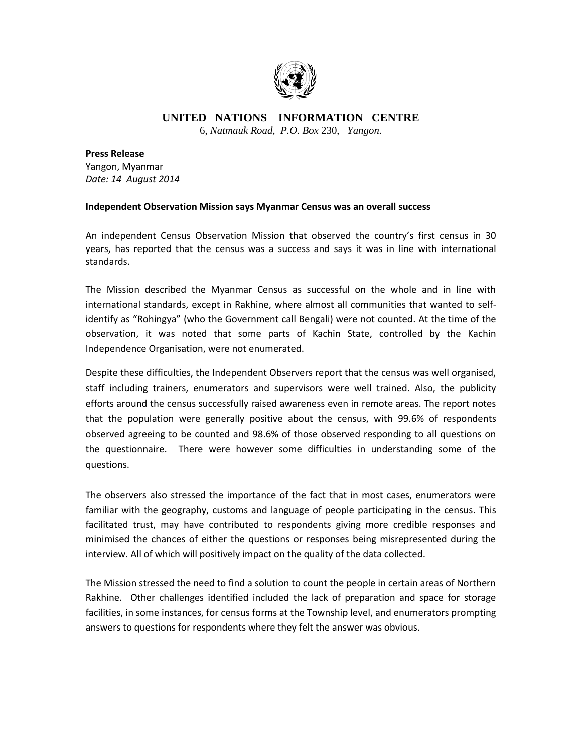

## **UNITED NATIONS INFORMATION CENTRE**

6, *Natmauk Road, P.O. Box* 230, *Yangon.*

**Press Release** Yangon, Myanmar *Date: 14 August 2014*

## **Independent Observation Mission says Myanmar Census was an overall success**

An independent Census Observation Mission that observed the country's first census in 30 years, has reported that the census was a success and says it was in line with international standards.

The Mission described the Myanmar Census as successful on the whole and in line with international standards, except in Rakhine, where almost all communities that wanted to selfidentify as "Rohingya" (who the Government call Bengali) were not counted. At the time of the observation, it was noted that some parts of Kachin State, controlled by the Kachin Independence Organisation, were not enumerated.

Despite these difficulties, the Independent Observers report that the census was well organised, staff including trainers, enumerators and supervisors were well trained. Also, the publicity efforts around the census successfully raised awareness even in remote areas. The report notes that the population were generally positive about the census, with 99.6% of respondents observed agreeing to be counted and 98.6% of those observed responding to all questions on the questionnaire. There were however some difficulties in understanding some of the questions.

The observers also stressed the importance of the fact that in most cases, enumerators were familiar with the geography, customs and language of people participating in the census. This facilitated trust, may have contributed to respondents giving more credible responses and minimised the chances of either the questions or responses being misrepresented during the interview. All of which will positively impact on the quality of the data collected.

The Mission stressed the need to find a solution to count the people in certain areas of Northern Rakhine. Other challenges identified included the lack of preparation and space for storage facilities, in some instances, for census forms at the Township level, and enumerators prompting answers to questions for respondents where they felt the answer was obvious.